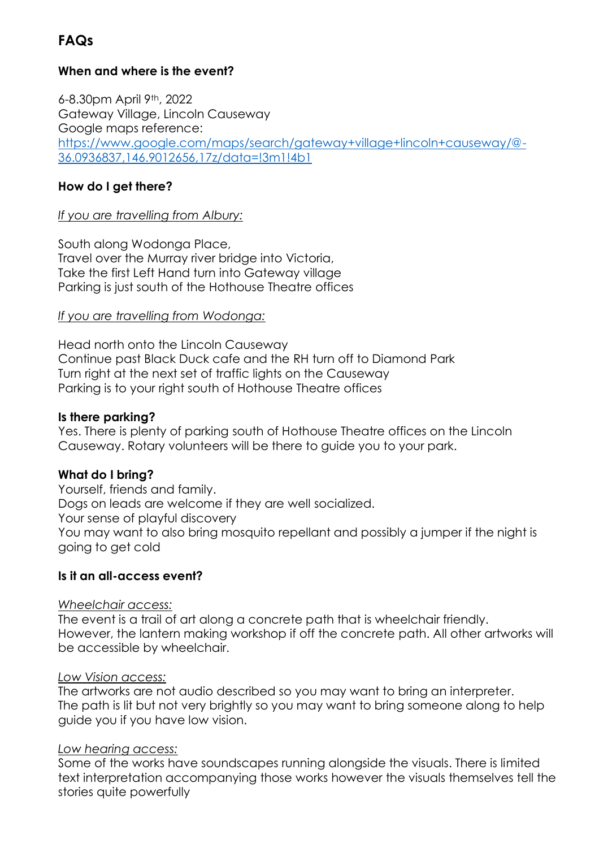# **FAQs**

## **When and where is the event?**

6-8.30pm April 9th, 2022 Gateway Village, Lincoln Causeway Google maps reference: [https://www.google.com/maps/search/gateway+village+lincoln+causeway/@-](https://www.google.com/maps/search/gateway+village+lincoln+causeway/@-36.0936837,146.9012656,17z/data=!3m1!4b1) [36.0936837,146.9012656,17z/data=!3m1!4b1](https://www.google.com/maps/search/gateway+village+lincoln+causeway/@-36.0936837,146.9012656,17z/data=!3m1!4b1)

## **How do I get there?**

## *If you are travelling from Albury:*

South along Wodonga Place, Travel over the Murray river bridge into Victoria, Take the first Left Hand turn into Gateway village Parking is just south of the Hothouse Theatre offices

## *If you are travelling from Wodonga:*

Head north onto the Lincoln Causeway Continue past Black Duck cafe and the RH turn off to Diamond Park Turn right at the next set of traffic lights on the Causeway Parking is to your right south of Hothouse Theatre offices

#### **Is there parking?**

Yes. There is plenty of parking south of Hothouse Theatre offices on the Lincoln Causeway. Rotary volunteers will be there to guide you to your park.

#### **What do I bring?**

Yourself, friends and family. Dogs on leads are welcome if they are well socialized. Your sense of playful discovery You may want to also bring mosquito repellant and possibly a jumper if the night is going to get cold

#### **Is it an all-access event?**

#### *Wheelchair access:*

The event is a trail of art along a concrete path that is wheelchair friendly. However, the lantern making workshop if off the concrete path. All other artworks will be accessible by wheelchair.

#### *Low Vision access:*

The artworks are not audio described so you may want to bring an interpreter. The path is lit but not very brightly so you may want to bring someone along to help guide you if you have low vision.

#### *Low hearing access:*

Some of the works have soundscapes running alongside the visuals. There is limited text interpretation accompanying those works however the visuals themselves tell the stories quite powerfully